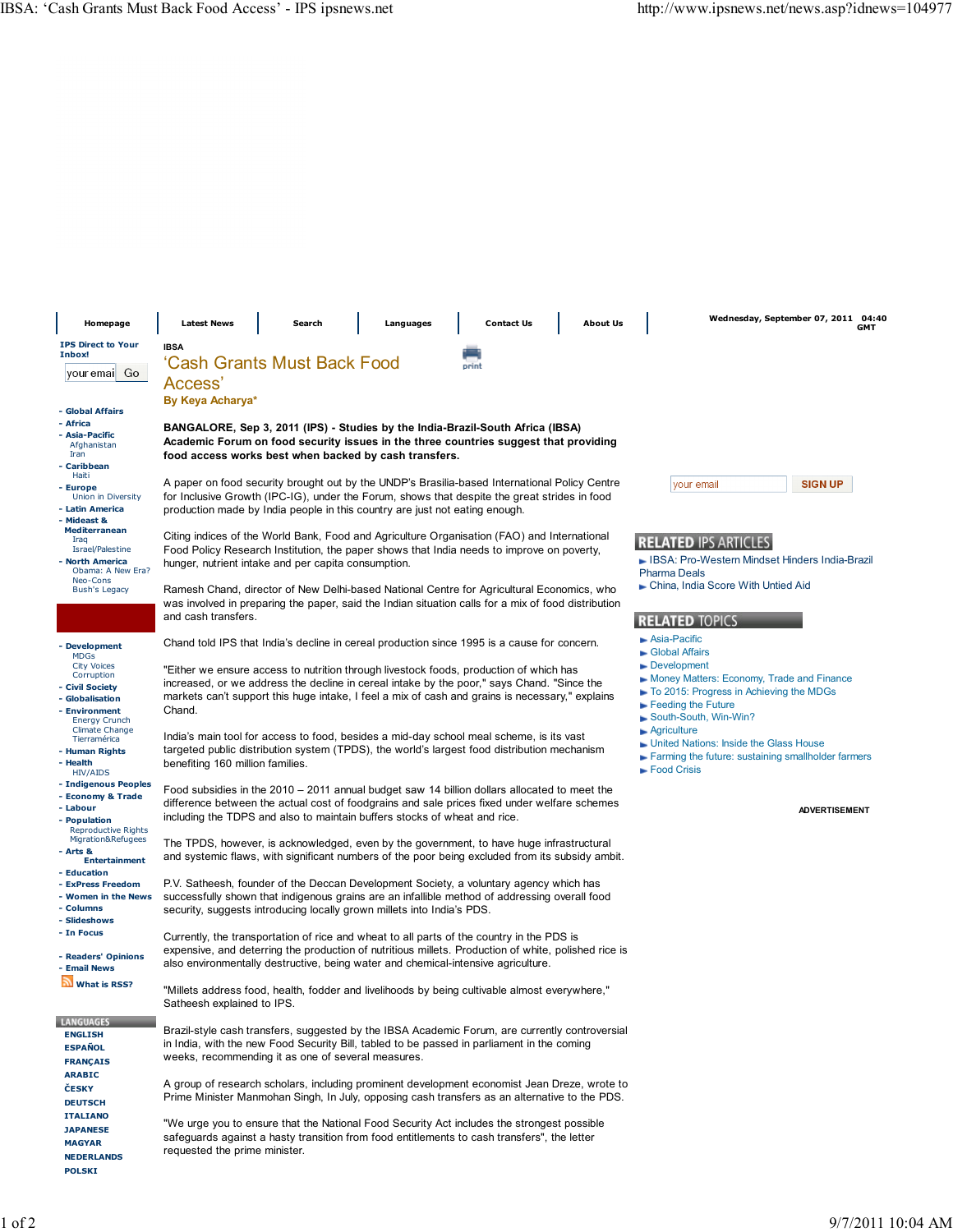| Homepage                                                                                             | <b>Latest News</b>                                                                                                                                                                                                                                                                                           | Search | Languages | <b>Contact Us</b>                                                                                                                                                                         | <b>About Us</b> | Wednesday, September 07, 2011 04:40<br>GMT                                                                                                                |
|------------------------------------------------------------------------------------------------------|--------------------------------------------------------------------------------------------------------------------------------------------------------------------------------------------------------------------------------------------------------------------------------------------------------------|--------|-----------|-------------------------------------------------------------------------------------------------------------------------------------------------------------------------------------------|-----------------|-----------------------------------------------------------------------------------------------------------------------------------------------------------|
| <b>IPS Direct to Your</b><br>Inbox!<br>youremail Go                                                  | <b>IBSA</b><br>'Cash Grants Must Back Food<br>print<br>Access'<br>By Keya Acharya*                                                                                                                                                                                                                           |        |           |                                                                                                                                                                                           |                 |                                                                                                                                                           |
| - Global Affairs<br>- Africa<br>- Asia-Pacific<br>Afghanistan<br>Iran<br>- Caribbean                 | BANGALORE, Sep 3, 2011 (IPS) - Studies by the India-Brazil-South Africa (IBSA)<br>Academic Forum on food security issues in the three countries suggest that providing<br>food access works best when backed by cash transfers.                                                                              |        |           |                                                                                                                                                                                           |                 |                                                                                                                                                           |
| Haiti<br>- Europe<br>Union in Diversity<br>- Latin America<br>- Mideast &                            | A paper on food security brought out by the UNDP's Brasilia-based International Policy Centre<br><b>SIGN UP</b><br>vour email<br>for Inclusive Growth (IPC-IG), under the Forum, shows that despite the great strides in food<br>production made by India people in this country are just not eating enough. |        |           |                                                                                                                                                                                           |                 |                                                                                                                                                           |
| <b>Mediterranean</b><br>Iraq<br>Israel/Palestine<br>- North America<br>Obama: A New Era?<br>Neo-Cons | Citing indices of the World Bank, Food and Agriculture Organisation (FAO) and International<br>Food Policy Research Institution, the paper shows that India needs to improve on poverty,<br>hunger, nutrient intake and per capita consumption.                                                              |        |           |                                                                                                                                                                                           |                 | <b>RELATED IPS ARTICLES</b><br>► IBSA: Pro-Western Mindset Hinders India-Brazil<br><b>Pharma Deals</b>                                                    |
| <b>Bush's Legacy</b>                                                                                 | Ramesh Chand, director of New Delhi-based National Centre for Agricultural Economics, who<br>was involved in preparing the paper, said the Indian situation calls for a mix of food distribution<br>and cash transfers.                                                                                      |        |           |                                                                                                                                                                                           |                 | • China, India Score With Untied Aid<br><b>RELATED TOPICS</b>                                                                                             |
| - Development<br><b>MDGs</b><br><b>City Voices</b><br>Corruption                                     | Chand told IPS that India's decline in cereal production since 1995 is a cause for concern.<br>"Either we ensure access to nutrition through livestock foods, production of which has                                                                                                                        |        |           |                                                                                                                                                                                           |                 | Asia-Pacific<br>Global Affairs<br>Development                                                                                                             |
| - Civil Society<br>- Globalisation<br>- Environment<br><b>Energy Crunch</b>                          | increased, or we address the decline in cereal intake by the poor," says Chand. "Since the<br>markets can't support this huge intake, I feel a mix of cash and grains is necessary," explains<br>Chand.                                                                                                      |        |           |                                                                                                                                                                                           |                 | Money Matters: Economy, Trade and Finance<br>To 2015: Progress in Achieving the MDGs<br>$\blacktriangleright$ Feeding the Future<br>South-South, Win-Win? |
| <b>Climate Change</b><br>Tierramérica<br>- Human Rights<br>- Health<br><b>HIV/AIDS</b>               | India's main tool for access to food, besides a mid-day school meal scheme, is its vast<br>targeted public distribution system (TPDS), the world's largest food distribution mechanism<br>benefiting 160 million families.                                                                                   |        |           |                                                                                                                                                                                           |                 | $\blacktriangleright$ Agriculture<br>• United Nations: Inside the Glass House<br>Farming the future: sustaining smallholder farmers<br>Food Crisis        |
| - Indigenous Peoples<br>- Economy & Trade<br>- Labour<br>- Population<br><b>Reproductive Rights</b>  | Food subsidies in the 2010 – 2011 annual budget saw 14 billion dollars allocated to meet the<br>difference between the actual cost of foodgrains and sale prices fixed under welfare schemes<br>including the TDPS and also to maintain buffers stocks of wheat and rice.                                    |        |           |                                                                                                                                                                                           |                 | <b>ADVERTISEMENT</b>                                                                                                                                      |
| Migration&Refugees<br>- Arts &<br><b>Entertainment</b><br>- Education                                | The TPDS, however, is acknowledged, even by the government, to have huge infrastructural<br>and systemic flaws, with significant numbers of the poor being excluded from its subsidy ambit.                                                                                                                  |        |           |                                                                                                                                                                                           |                 |                                                                                                                                                           |
| - ExPress Freedom<br>- Women in the News<br>- Columns<br>- Slideshows                                | P.V. Satheesh, founder of the Deccan Development Society, a voluntary agency which has<br>successfully shown that indigenous grains are an infallible method of addressing overall food<br>security, suggests introducing locally grown millets into India's PDS.                                            |        |           |                                                                                                                                                                                           |                 |                                                                                                                                                           |
| - In Focus<br>- Readers' Opinions<br>- Email News                                                    | Currently, the transportation of rice and wheat to all parts of the country in the PDS is<br>expensive, and deterring the production of nutritious millets. Production of white, polished rice is<br>also environmentally destructive, being water and chemical-intensive agriculture.                       |        |           |                                                                                                                                                                                           |                 |                                                                                                                                                           |
| <b>What is RSS?</b>                                                                                  | "Millets address food, health, fodder and livelihoods by being cultivable almost everywhere,"<br>Satheesh explained to IPS.                                                                                                                                                                                  |        |           |                                                                                                                                                                                           |                 |                                                                                                                                                           |
| <b>LANGUAGES</b><br><b>ENGLISH</b><br><b>ESPAÑOL</b><br><b>FRANÇAIS</b>                              | Brazil-style cash transfers, suggested by the IBSA Academic Forum, are currently controversial<br>in India, with the new Food Security Bill, tabled to be passed in parliament in the coming<br>weeks, recommending it as one of several measures.                                                           |        |           |                                                                                                                                                                                           |                 |                                                                                                                                                           |
| <b>ARABIC</b><br>ČESKY<br><b>DEUTSCH</b>                                                             | A group of research scholars, including prominent development economist Jean Dreze, wrote to<br>Prime Minister Manmohan Singh, In July, opposing cash transfers as an alternative to the PDS.                                                                                                                |        |           |                                                                                                                                                                                           |                 |                                                                                                                                                           |
| <b>ITALIANO</b><br><b>JAPANESE</b><br><b>MAGYAR</b><br><b>NEDERLANDS</b><br><b>POLSKI</b>            | requested the prime minister.                                                                                                                                                                                                                                                                                |        |           | "We urge you to ensure that the National Food Security Act includes the strongest possible<br>safeguards against a hasty transition from food entitlements to cash transfers", the letter |                 |                                                                                                                                                           |